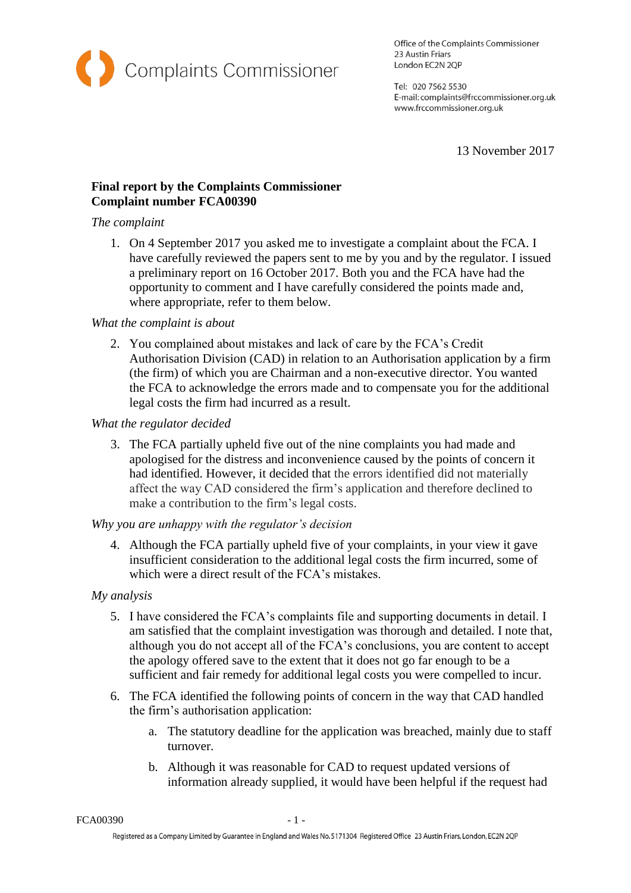

Office of the Complaints Commissioner 23 Austin Friars London EC2N 2QP

Tel: 020 7562 5530 E-mail: complaints@frccommissioner.org.uk www.frccommissioner.org.uk

13 November 2017

# **Final report by the Complaints Commissioner Complaint number FCA00390**

#### *The complaint*

1. On 4 September 2017 you asked me to investigate a complaint about the FCA. I have carefully reviewed the papers sent to me by you and by the regulator. I issued a preliminary report on 16 October 2017. Both you and the FCA have had the opportunity to comment and I have carefully considered the points made and, where appropriate, refer to them below.

## *What the complaint is about*

2. You complained about mistakes and lack of care by the FCA's Credit Authorisation Division (CAD) in relation to an Authorisation application by a firm (the firm) of which you are Chairman and a non-executive director. You wanted the FCA to acknowledge the errors made and to compensate you for the additional legal costs the firm had incurred as a result.

*What the regulator decided*

3. The FCA partially upheld five out of the nine complaints you had made and apologised for the distress and inconvenience caused by the points of concern it had identified. However, it decided that the errors identified did not materially affect the way CAD considered the firm's application and therefore declined to make a contribution to the firm's legal costs.

## *Why you are unhappy with the regulator's decision*

4. Although the FCA partially upheld five of your complaints, in your view it gave insufficient consideration to the additional legal costs the firm incurred, some of which were a direct result of the FCA's mistakes.

## *My analysis*

- 5. I have considered the FCA's complaints file and supporting documents in detail. I am satisfied that the complaint investigation was thorough and detailed. I note that, although you do not accept all of the FCA's conclusions, you are content to accept the apology offered save to the extent that it does not go far enough to be a sufficient and fair remedy for additional legal costs you were compelled to incur.
- 6. The FCA identified the following points of concern in the way that CAD handled the firm's authorisation application:
	- a. The statutory deadline for the application was breached, mainly due to staff turnover.
	- b. Although it was reasonable for CAD to request updated versions of information already supplied, it would have been helpful if the request had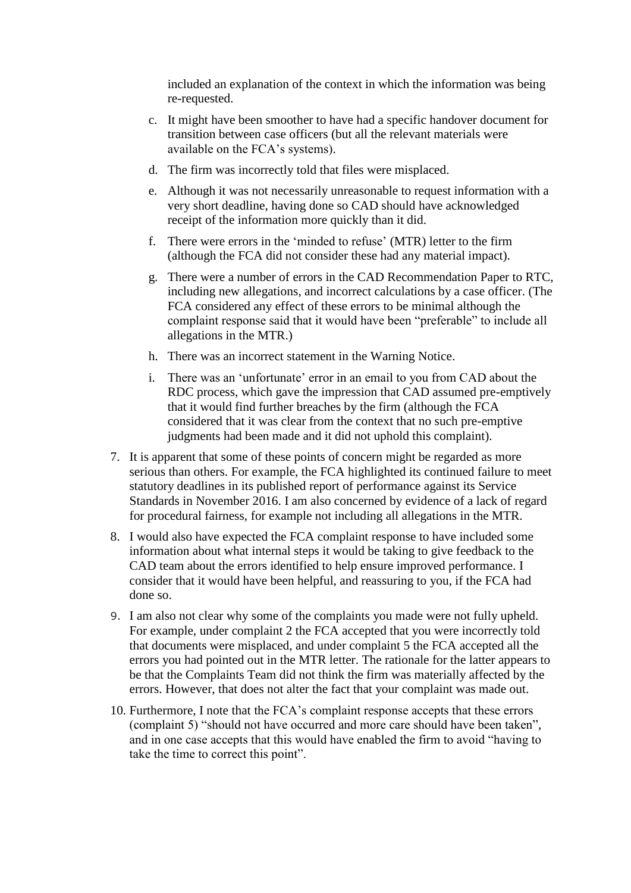included an explanation of the context in which the information was being re-requested.

- c. It might have been smoother to have had a specific handover document for transition between case officers (but all the relevant materials were available on the FCA's systems).
- d. The firm was incorrectly told that files were misplaced.
- e. Although it was not necessarily unreasonable to request information with a very short deadline, having done so CAD should have acknowledged receipt of the information more quickly than it did.
- f. There were errors in the 'minded to refuse' (MTR) letter to the firm (although the FCA did not consider these had any material impact).
- g. There were a number of errors in the CAD Recommendation Paper to RTC, including new allegations, and incorrect calculations by a case officer. (The FCA considered any effect of these errors to be minimal although the complaint response said that it would have been "preferable" to include all allegations in the MTR.)
- h. There was an incorrect statement in the Warning Notice.
- i. There was an 'unfortunate' error in an email to you from CAD about the RDC process, which gave the impression that CAD assumed pre-emptively that it would find further breaches by the firm (although the FCA considered that it was clear from the context that no such pre-emptive judgments had been made and it did not uphold this complaint).
- 7. It is apparent that some of these points of concern might be regarded as more serious than others. For example, the FCA highlighted its continued failure to meet statutory deadlines in its published report of performance against its Service Standards in November 2016. I am also concerned by evidence of a lack of regard for procedural fairness, for example not including all allegations in the MTR.
- 8. I would also have expected the FCA complaint response to have included some information about what internal steps it would be taking to give feedback to the CAD team about the errors identified to help ensure improved performance. I consider that it would have been helpful, and reassuring to you, if the FCA had done so.
- 9. I am also not clear why some of the complaints you made were not fully upheld. For example, under complaint 2 the FCA accepted that you were incorrectly told that documents were misplaced, and under complaint 5 the FCA accepted all the errors you had pointed out in the MTR letter. The rationale for the latter appears to be that the Complaints Team did not think the firm was materially affected by the errors. However, that does not alter the fact that your complaint was made out.
- 10. Furthermore, I note that the FCA's complaint response accepts that these errors (complaint 5) "should not have occurred and more care should have been taken", and in one case accepts that this would have enabled the firm to avoid "having to take the time to correct this point".